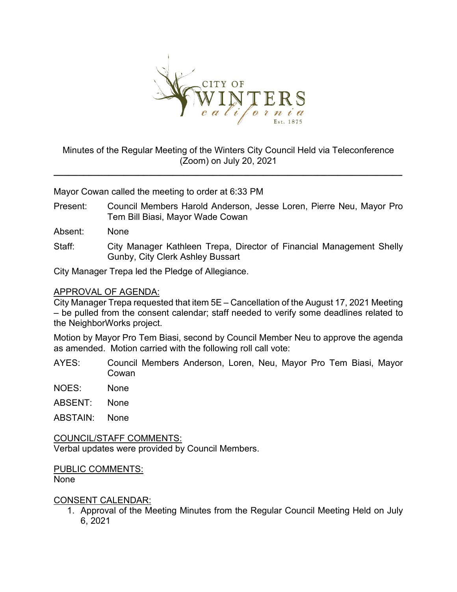

# Minutes of the Regular Meeting of the Winters City Council Held via Teleconference (Zoom) on July 20, 2021

**\_\_\_\_\_\_\_\_\_\_\_\_\_\_\_\_\_\_\_\_\_\_\_\_\_\_\_\_\_\_\_\_\_\_\_\_\_\_\_\_\_\_\_\_\_\_\_\_\_\_\_\_\_\_\_\_\_\_\_\_\_\_\_\_\_\_\_\_\_\_**

Mayor Cowan called the meeting to order at 6:33 PM

- Present: Council Members Harold Anderson, Jesse Loren, Pierre Neu, Mayor Pro Tem Bill Biasi, Mayor Wade Cowan
- Absent: None
- Staff: City Manager Kathleen Trepa, Director of Financial Management Shelly Gunby, City Clerk Ashley Bussart

City Manager Trepa led the Pledge of Allegiance.

## APPROVAL OF AGENDA:

City Manager Trepa requested that item 5E – Cancellation of the August 17, 2021 Meeting – be pulled from the consent calendar; staff needed to verify some deadlines related to the NeighborWorks project.

Motion by Mayor Pro Tem Biasi, second by Council Member Neu to approve the agenda as amended. Motion carried with the following roll call vote:

- AYES: Council Members Anderson, Loren, Neu, Mayor Pro Tem Biasi, Mayor Cowan
- NOES: None
- ABSENT: None
- ABSTAIN: None

COUNCIL/STAFF COMMENTS: Verbal updates were provided by Council Members.

PUBLIC COMMENTS:

None

### CONSENT CALENDAR:

1. Approval of the Meeting Minutes from the Regular Council Meeting Held on July 6, 2021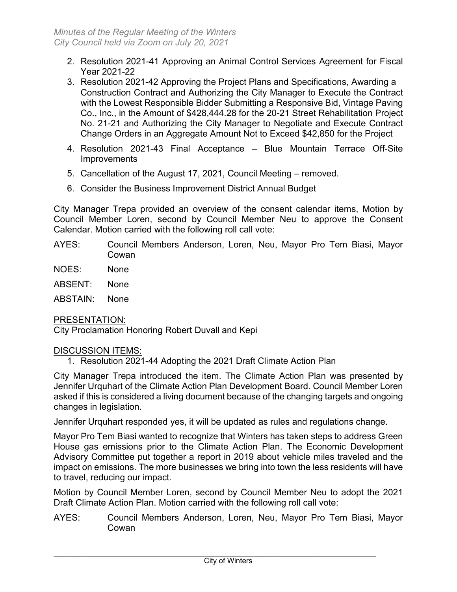- 2. Resolution 2021-41 Approving an Animal Control Services Agreement for Fiscal Year 2021-22
- 3. Resolution 2021-42 Approving the Project Plans and Specifications, Awarding a Construction Contract and Authorizing the City Manager to Execute the Contract with the Lowest Responsible Bidder Submitting a Responsive Bid, Vintage Paving Co., Inc., in the Amount of \$428,444.28 for the 20-21 Street Rehabilitation Project No. 21-21 and Authorizing the City Manager to Negotiate and Execute Contract Change Orders in an Aggregate Amount Not to Exceed \$42,850 for the Project
- 4. Resolution 2021-43 Final Acceptance Blue Mountain Terrace Off-Site **Improvements**
- 5. Cancellation of the August 17, 2021, Council Meeting removed.
- 6. Consider the Business Improvement District Annual Budget

City Manager Trepa provided an overview of the consent calendar items, Motion by Council Member Loren, second by Council Member Neu to approve the Consent Calendar. Motion carried with the following roll call vote:

- AYES: Council Members Anderson, Loren, Neu, Mayor Pro Tem Biasi, Mayor Cowan
- NOES: None
- ABSENT: None
- ABSTAIN: None

## PRESENTATION:

City Proclamation Honoring Robert Duvall and Kepi

## DISCUSSION ITEMS:

1. Resolution 2021-44 Adopting the 2021 Draft Climate Action Plan

City Manager Trepa introduced the item. The Climate Action Plan was presented by Jennifer Urquhart of the Climate Action Plan Development Board. Council Member Loren asked if this is considered a living document because of the changing targets and ongoing changes in legislation.

Jennifer Urquhart responded yes, it will be updated as rules and regulations change.

Mayor Pro Tem Biasi wanted to recognize that Winters has taken steps to address Green House gas emissions prior to the Climate Action Plan. The Economic Development Advisory Committee put together a report in 2019 about vehicle miles traveled and the impact on emissions. The more businesses we bring into town the less residents will have to travel, reducing our impact.

Motion by Council Member Loren, second by Council Member Neu to adopt the 2021 Draft Climate Action Plan. Motion carried with the following roll call vote:

AYES: Council Members Anderson, Loren, Neu, Mayor Pro Tem Biasi, Mayor Cowan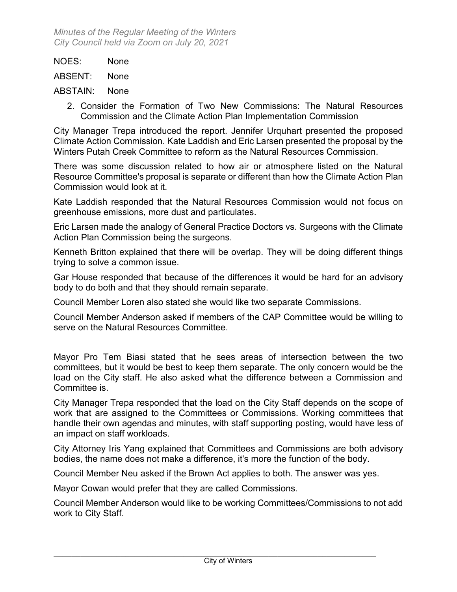| None |
|------|
|      |

ABSENT: None

ABSTAIN: None

2. Consider the Formation of Two New Commissions: The Natural Resources Commission and the Climate Action Plan Implementation Commission

City Manager Trepa introduced the report. Jennifer Urquhart presented the proposed Climate Action Commission. Kate Laddish and Eric Larsen presented the proposal by the Winters Putah Creek Committee to reform as the Natural Resources Commission.

There was some discussion related to how air or atmosphere listed on the Natural Resource Committee's proposal is separate or different than how the Climate Action Plan Commission would look at it.

Kate Laddish responded that the Natural Resources Commission would not focus on greenhouse emissions, more dust and particulates.

Eric Larsen made the analogy of General Practice Doctors vs. Surgeons with the Climate Action Plan Commission being the surgeons.

Kenneth Britton explained that there will be overlap. They will be doing different things trying to solve a common issue.

Gar House responded that because of the differences it would be hard for an advisory body to do both and that they should remain separate.

Council Member Loren also stated she would like two separate Commissions.

Council Member Anderson asked if members of the CAP Committee would be willing to serve on the Natural Resources Committee.

Mayor Pro Tem Biasi stated that he sees areas of intersection between the two committees, but it would be best to keep them separate. The only concern would be the load on the City staff. He also asked what the difference between a Commission and Committee is.

City Manager Trepa responded that the load on the City Staff depends on the scope of work that are assigned to the Committees or Commissions. Working committees that handle their own agendas and minutes, with staff supporting posting, would have less of an impact on staff workloads.

City Attorney Iris Yang explained that Committees and Commissions are both advisory bodies, the name does not make a difference, it's more the function of the body.

Council Member Neu asked if the Brown Act applies to both. The answer was yes.

Mayor Cowan would prefer that they are called Commissions.

Council Member Anderson would like to be working Committees/Commissions to not add work to City Staff.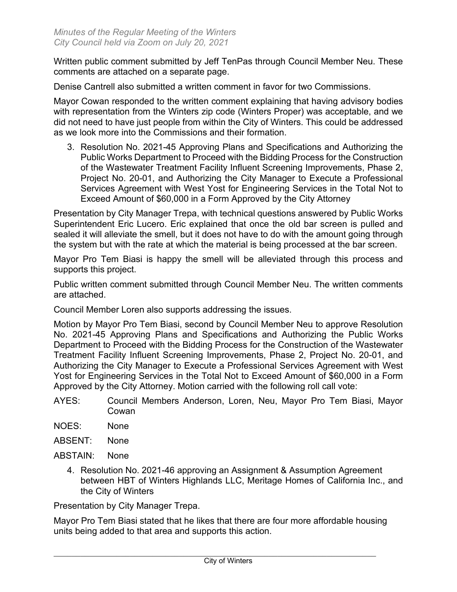Written public comment submitted by Jeff TenPas through Council Member Neu. These comments are attached on a separate page.

Denise Cantrell also submitted a written comment in favor for two Commissions.

Mayor Cowan responded to the written comment explaining that having advisory bodies with representation from the Winters zip code (Winters Proper) was acceptable, and we did not need to have just people from within the City of Winters. This could be addressed as we look more into the Commissions and their formation.

3. Resolution No. 2021-45 Approving Plans and Specifications and Authorizing the Public Works Department to Proceed with the Bidding Process for the Construction of the Wastewater Treatment Facility Influent Screening Improvements, Phase 2, Project No. 20-01, and Authorizing the City Manager to Execute a Professional Services Agreement with West Yost for Engineering Services in the Total Not to Exceed Amount of \$60,000 in a Form Approved by the City Attorney

Presentation by City Manager Trepa, with technical questions answered by Public Works Superintendent Eric Lucero. Eric explained that once the old bar screen is pulled and sealed it will alleviate the smell, but it does not have to do with the amount going through the system but with the rate at which the material is being processed at the bar screen.

Mayor Pro Tem Biasi is happy the smell will be alleviated through this process and supports this project.

Public written comment submitted through Council Member Neu. The written comments are attached.

Council Member Loren also supports addressing the issues.

Motion by Mayor Pro Tem Biasi, second by Council Member Neu to approve Resolution No. 2021-45 Approving Plans and Specifications and Authorizing the Public Works Department to Proceed with the Bidding Process for the Construction of the Wastewater Treatment Facility Influent Screening Improvements, Phase 2, Project No. 20-01, and Authorizing the City Manager to Execute a Professional Services Agreement with West Yost for Engineering Services in the Total Not to Exceed Amount of \$60,000 in a Form Approved by the City Attorney. Motion carried with the following roll call vote:

- AYES: Council Members Anderson, Loren, Neu, Mayor Pro Tem Biasi, Mayor Cowan
- NOES: None
- ABSENT: None
- ABSTAIN: None
	- 4. Resolution No. 2021-46 approving an Assignment & Assumption Agreement between HBT of Winters Highlands LLC, Meritage Homes of California Inc., and the City of Winters

Presentation by City Manager Trepa.

Mayor Pro Tem Biasi stated that he likes that there are four more affordable housing units being added to that area and supports this action.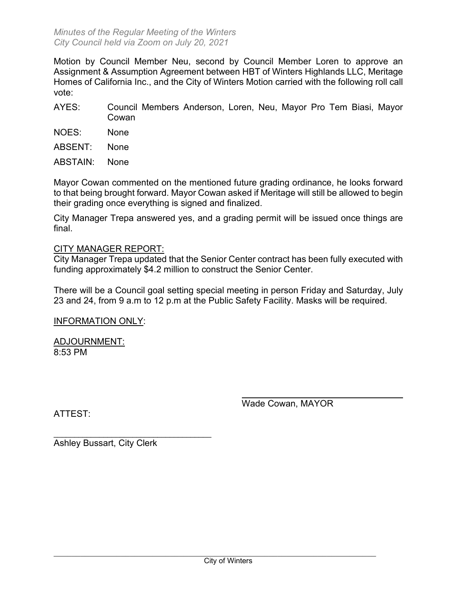Motion by Council Member Neu, second by Council Member Loren to approve an Assignment & Assumption Agreement between HBT of Winters Highlands LLC, Meritage Homes of California Inc., and the City of Winters Motion carried with the following roll call vote:

- AYES: Council Members Anderson, Loren, Neu, Mayor Pro Tem Biasi, Mayor Cowan
- NOES: None
- ABSENT: None
- ABSTAIN: None

Mayor Cowan commented on the mentioned future grading ordinance, he looks forward to that being brought forward. Mayor Cowan asked if Meritage will still be allowed to begin their grading once everything is signed and finalized.

City Manager Trepa answered yes, and a grading permit will be issued once things are final.

## CITY MANAGER REPORT:

City Manager Trepa updated that the Senior Center contract has been fully executed with funding approximately \$4.2 million to construct the Senior Center.

There will be a Council goal setting special meeting in person Friday and Saturday, July 23 and 24, from 9 a.m to 12 p.m at the Public Safety Facility. Masks will be required.

INFORMATION ONLY:

ADJOURNMENT: 8:53 PM

Wade Cowan, MAYOR

ATTEST:

\_\_\_\_\_\_\_\_\_\_\_\_\_\_\_\_\_\_\_\_\_\_\_\_\_\_\_\_\_\_\_\_\_\_\_\_\_\_ Ashley Bussart, City Clerk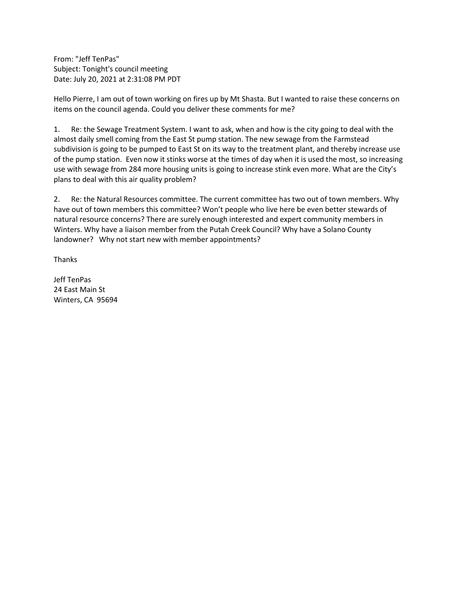From: "Jeff TenPas" Subject: Tonight's council meeting Date: July 20, 2021 at 2:31:08 PM PDT

Hello Pierre, I am out of town working on fires up by Mt Shasta. But I wanted to raise these concerns on items on the council agenda. Could you deliver these comments for me?

1. Re: the Sewage Treatment System. I want to ask, when and how is the city going to deal with the almost daily smell coming from the East St pump station. The new sewage from the Farmstead subdivision is going to be pumped to East St on its way to the treatment plant, and thereby increase use of the pump station. Even now it stinks worse at the times of day when it is used the most, so increasing use with sewage from 284 more housing units is going to increase stink even more. What are the City's plans to deal with this air quality problem?

2. Re: the Natural Resources committee. The current committee has two out of town members. Why have out of town members this committee? Won't people who live here be even better stewards of natural resource concerns? There are surely enough interested and expert community members in Winters. Why have a liaison member from the Putah Creek Council? Why have a Solano County landowner? Why not start new with member appointments?

Thanks

Jeff TenPas 24 East Main St Winters, CA 95694